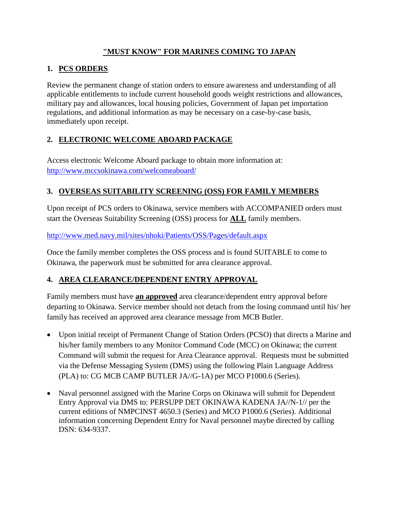### **"MUST KNOW" FOR MARINES COMING TO JAPAN**

# **1. PCS ORDERS**

Review the permanent change of station orders to ensure awareness and understanding of all applicable entitlements to include current household goods weight restrictions and allowances, military pay and allowances, local housing policies, Government of Japan pet importation regulations, and additional information as may be necessary on a case-by-case basis, immediately upon receipt.

# **2. ELECTRONIC WELCOME ABOARD PACKAGE**

Access electronic Welcome Aboard package to obtain more information at: <http://www.mccsokinawa.com/welcomeaboard/>

# **3. OVERSEAS SUITABILITY SCREENING (OSS) FOR FAMILY MEMBERS**

Upon receipt of PCS orders to Okinawa, service members with ACCOMPANIED orders must start the Overseas Suitability Screening (OSS) process for **ALL** family members.

<http://www.med.navy.mil/sites/nhoki/Patients/OSS/Pages/default.aspx>

Once the family member completes the OSS process and is found SUITABLE to come to Okinawa, the paperwork must be submitted for area clearance approval.

# **4. AREA CLEARANCE/DEPENDENT ENTRY APPROVAL**

Family members must have **an approved** area clearance/dependent entry approval before departing to Okinawa. Service member should not detach from the losing command until his/ her family has received an approved area clearance message from MCB Butler.

- Upon initial receipt of Permanent Change of Station Orders (PCSO) that directs a Marine and his/her family members to any Monitor Command Code (MCC) on Okinawa; the current Command will submit the request for Area Clearance approval. Requests must be submitted via the Defense Messaging System (DMS) using the following Plain Language Address (PLA) to: CG MCB CAMP BUTLER JA//G-1A) per MCO P1000.6 (Series).
- Naval personnel assigned with the Marine Corps on Okinawa will submit for Dependent Entry Approval via DMS to: PERSUPP DET OKINAWA KADENA JA//N-1// per the current editions of NMPCINST 4650.3 (Series) and MCO P1000.6 (Series). Additional information concerning Dependent Entry for Naval personnel maybe directed by calling DSN: 634-9337.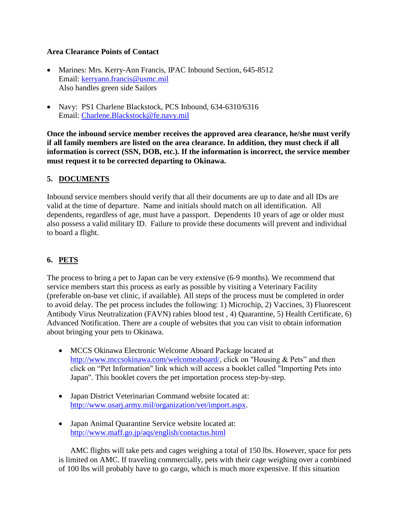#### **Area Clearance Points of Contact**

- Marines: Mrs. Kerry-Ann Francis, IPAC Inbound Section, 645-8512 Email: [kerryann.francis@usmc.mil](mailto:kerryann.francis@usmc.mil) Also handles green side Sailors
- Navy: PS1 Charlene Blackstock, PCS Inbound, 634-6310/6316 Email: [Charlene.Blackstock@fe.navy.mil](mailto:Charlene.Blackstock@fe.navy.mil)

**Once the inbound service member receives the approved area clearance, he/she must verify if all family members are listed on the area clearance. In addition, they must check if all information is correct (SSN, DOB, etc.). If the information is incorrect, the service member must request it to be corrected departing to Okinawa.** 

#### **5. DOCUMENTS**

Inbound service members should verify that all their documents are up to date and all IDs are valid at the time of departure. Name and initials should match on all identification. All dependents, regardless of age, must have a passport. Dependents 10 years of age or older must also possess a valid military ID. Failure to provide these documents will prevent and individual to board a flight.

### **6. PETS**

The process to bring a pet to Japan can be very extensive (6-9 months). We recommend that service members start this process as early as possible by visiting a Veterinary Facility (preferable on-base vet clinic, if available). All steps of the process must be completed in order to avoid delay. The pet process includes the following: 1) Microchip, 2) Vaccines, 3) Fluorescent Antibody Virus Neutralization (FAVN) rabies blood test , 4) Quarantine, 5) Health Certificate, 6) Advanced Notification. There are a couple of websites that you can visit to obtain information about bringing your pets to Okinawa.

- MCCS Okinawa Electronic Welcome Aboard Package located at [http://www.mccsokinawa.com/welcomeaboard/,](http://www.mccsokinawa.com/welcomeaboard/) click on "Housing & Pets" and then click on "Pet Information" link which will access a booklet called "Importing Pets into Japan". This booklet covers the pet importation process step-by-step.
- Japan District Veterinarian Command website located at: [http://www.usarj.army.mil/organization/vet/import.aspx.](http://www.usarj.army.mil/organization/vet/import.aspx)
- Japan Animal Quarantine Service website located at: <http://www.maff.go.jp/aqs/english/contactus.html>

AMC flights will take pets and cages weighing a total of 150 lbs. However, space for pets is limited on AMC. If traveling commercially, pets with their cage weighing over a combined of 100 lbs will probably have to go cargo, which is much more expensive. If this situation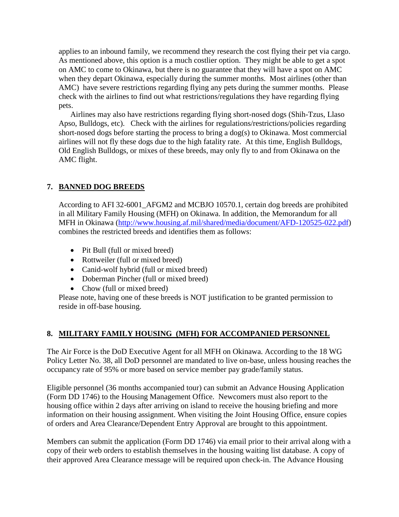applies to an inbound family, we recommend they research the cost flying their pet via cargo. As mentioned above, this option is a much costlier option. They might be able to get a spot on AMC to come to Okinawa, but there is no guarantee that they will have a spot on AMC when they depart Okinawa, especially during the summer months. Most airlines (other than AMC) have severe restrictions regarding flying any pets during the summer months. Please check with the airlines to find out what restrictions/regulations they have regarding flying pets.

Airlines may also have restrictions regarding flying short-nosed dogs (Shih-Tzus, Llaso Apso, Bulldogs, etc). Check with the airlines for regulations/restrictions/policies regarding short-nosed dogs before starting the process to bring a dog(s) to Okinawa. Most commercial airlines will not fly these dogs due to the high fatality rate. At this time, English Bulldogs, Old English Bulldogs, or mixes of these breeds, may only fly to and from Okinawa on the AMC flight.

# **7. BANNED DOG BREEDS**

According to AFI 32-6001\_AFGM2 and MCBJO 10570.1, certain dog breeds are prohibited in all Military Family Housing (MFH) on Okinawa. In addition, the Memorandum for all MFH in Okinawa [\(http://www.housing.af.mil/shared/media/document/AFD-120525-022.pdf\)](http://www.housing.af.mil/shared/media/document/AFD-120525-022.pdf) combines the restricted breeds and identifies them as follows:

- Pit Bull (full or mixed breed)
- Rottweiler (full or mixed breed)
- Canid-wolf hybrid (full or mixed breed)
- Doberman Pincher (full or mixed breed)
- Chow (full or mixed breed)

Please note, having one of these breeds is NOT justification to be granted permission to reside in off-base housing.

### **8. MILITARY FAMILY HOUSING (MFH) FOR ACCOMPANIED PERSONNEL**

The Air Force is the DoD Executive Agent for all MFH on Okinawa. According to the 18 WG Policy Letter No. 38, all DoD personnel are mandated to live on-base, unless housing reaches the occupancy rate of 95% or more based on service member pay grade/family status.

Eligible personnel (36 months accompanied tour) can submit an Advance Housing Application (Form DD 1746) to the Housing Management Office. Newcomers must also report to the housing office within 2 days after arriving on island to receive the housing briefing and more information on their housing assignment. When visiting the Joint Housing Office, ensure copies of orders and Area Clearance/Dependent Entry Approval are brought to this appointment.

Members can submit the application (Form DD 1746) via email prior to their arrival along with a copy of their web orders to establish themselves in the housing waiting list database. A copy of their approved Area Clearance message will be required upon check-in. The Advance Housing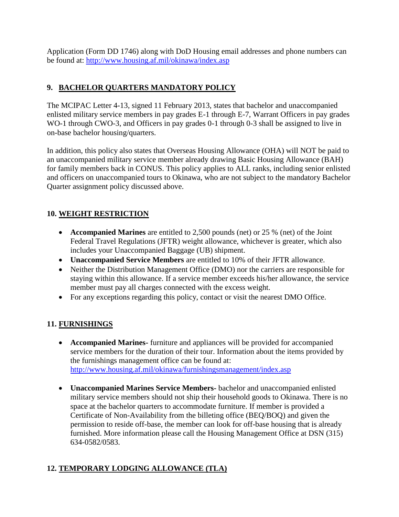Application (Form DD 1746) along with DoD Housing email addresses and phone numbers can be found at:<http://www.housing.af.mil/okinawa/index.asp>

# **9. BACHELOR QUARTERS MANDATORY POLICY**

The MCIPAC Letter 4-13, signed 11 February 2013, states that bachelor and unaccompanied enlisted military service members in pay grades E-1 through E-7, Warrant Officers in pay grades WO-1 through CWO-3, and Officers in pay grades 0-1 through 0-3 shall be assigned to live in on-base bachelor housing/quarters.

In addition, this policy also states that Overseas Housing Allowance (OHA) will NOT be paid to an unaccompanied military service member already drawing Basic Housing Allowance (BAH) for family members back in CONUS. This policy applies to ALL ranks, including senior enlisted and officers on unaccompanied tours to Okinawa, who are not subject to the mandatory Bachelor Quarter assignment policy discussed above.

# **10. WEIGHT RESTRICTION**

- **Accompanied Marines** are entitled to 2,500 pounds (net) or 25 % (net) of the Joint Federal Travel Regulations (JFTR) weight allowance, whichever is greater, which also includes your Unaccompanied Baggage (UB) shipment.
- **Unaccompanied Service Members** are entitled to 10% of their JFTR allowance.
- Neither the Distribution Management Office (DMO) nor the carriers are responsible for staying within this allowance. If a service member exceeds his/her allowance, the service member must pay all charges connected with the excess weight.
- For any exceptions regarding this policy, contact or visit the nearest DMO Office.

# **11. FURNISHINGS**

- **Accompanied Marines-** furniture and appliances will be provided for accompanied service members for the duration of their tour. Information about the items provided by the furnishings management office can be found at: <http://www.housing.af.mil/okinawa/furnishingsmanagement/index.asp>
- **Unaccompanied Marines Service Members-** bachelor and unaccompanied enlisted military service members should not ship their household goods to Okinawa. There is no space at the bachelor quarters to accommodate furniture. If member is provided a Certificate of Non-Availability from the billeting office (BEQ/BOQ) and given the permission to reside off-base, the member can look for off-base housing that is already furnished. More information please call the Housing Management Office at DSN (315) 634-0582/0583.

# **12. TEMPORARY LODGING ALLOWANCE (TLA)**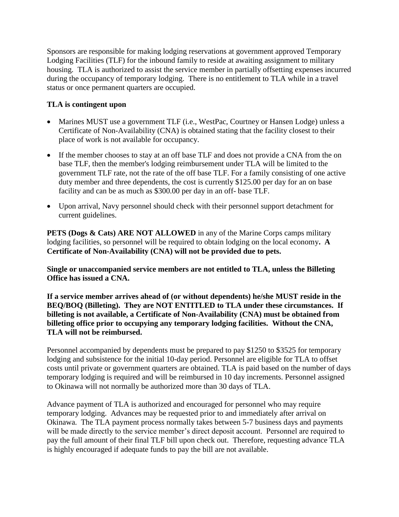Sponsors are responsible for making lodging reservations at government approved Temporary Lodging Facilities (TLF) for the inbound family to reside at awaiting assignment to military housing. TLA is authorized to assist the service member in partially offsetting expenses incurred during the occupancy of temporary lodging. There is no entitlement to TLA while in a travel status or once permanent quarters are occupied.

### **TLA is contingent upon**

- Marines MUST use a government TLF (i.e., WestPac, Courtney or Hansen Lodge) unless a Certificate of Non-Availability (CNA) is obtained stating that the facility closest to their place of work is not available for occupancy.
- If the member chooses to stay at an off base TLF and does not provide a CNA from the on base TLF, then the member's lodging reimbursement under TLA will be limited to the government TLF rate, not the rate of the off base TLF. For a family consisting of one active duty member and three dependents, the cost is currently \$125.00 per day for an on base facility and can be as much as \$300.00 per day in an off- base TLF.
- Upon arrival, Navy personnel should check with their personnel support detachment for current guidelines.

**PETS (Dogs & Cats) ARE NOT ALLOWED** in any of the Marine Corps camps military lodging facilities, so personnel will be required to obtain lodging on the local economy**. A Certificate of Non-Availability (CNA) will not be provided due to pets.**

**Single or unaccompanied service members are not entitled to TLA, unless the Billeting Office has issued a CNA.**

**If a service member arrives ahead of (or without dependents) he/she MUST reside in the BEQ/BOQ (Billeting). They are NOT ENTITLED to TLA under these circumstances. If billeting is not available, a Certificate of Non-Availability (CNA) must be obtained from billeting office prior to occupying any temporary lodging facilities. Without the CNA, TLA will not be reimbursed.**

Personnel accompanied by dependents must be prepared to pay \$1250 to \$3525 for temporary lodging and subsistence for the initial 10-day period. Personnel are eligible for TLA to offset costs until private or government quarters are obtained. TLA is paid based on the number of days temporary lodging is required and will be reimbursed in 10 day increments. Personnel assigned to Okinawa will not normally be authorized more than 30 days of TLA.

Advance payment of TLA is authorized and encouraged for personnel who may require temporary lodging. Advances may be requested prior to and immediately after arrival on Okinawa. The TLA payment process normally takes between 5-7 business days and payments will be made directly to the service member's direct deposit account. Personnel are required to pay the full amount of their final TLF bill upon check out. Therefore, requesting advance TLA is highly encouraged if adequate funds to pay the bill are not available.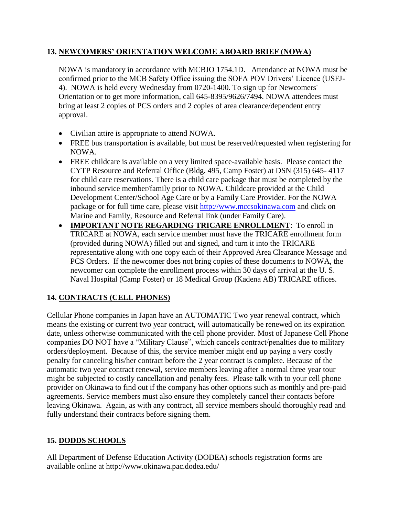### **13. NEWCOMERS' ORIENTATION WELCOME ABOARD BRIEF (NOWA)**

NOWA is mandatory in accordance with MCBJO 1754.1D. Attendance at NOWA must be confirmed prior to the MCB Safety Office issuing the SOFA POV Drivers' Licence (USFJ-4). NOWA is held every Wednesday from 0720-1400. To sign up for Newcomers' Orientation or to get more information, call 645-8395/9626/7494. NOWA attendees must bring at least 2 copies of PCS orders and 2 copies of area clearance/dependent entry approval.

- Civilian attire is appropriate to attend NOWA.
- FREE bus transportation is available, but must be reserved/requested when registering for NOWA.
- FREE childcare is available on a very limited space-available basis. Please contact the CYTP Resource and Referral Office (Bldg. 495, Camp Foster) at DSN (315) 645- 4117 for child care reservations. There is a child care package that must be completed by the inbound service member/family prior to NOWA. Childcare provided at the Child Development Center/School Age Care or by a Family Care Provider. For the NOWA package or for full time care, please visit [http://www.mccsokinawa.com](http://www.mccsokinawa.com/) and click on Marine and Family, Resource and Referral link (under Family Care).
- **IMPORTANT NOTE REGARDING TRICARE ENROLLMENT**: To enroll in TRICARE at NOWA, each service member must have the TRICARE enrollment form (provided during NOWA) filled out and signed, and turn it into the TRICARE representative along with one copy each of their Approved Area Clearance Message and PCS Orders. If the newcomer does not bring copies of these documents to NOWA, the newcomer can complete the enrollment process within 30 days of arrival at the U. S. Naval Hospital (Camp Foster) or 18 Medical Group (Kadena AB) TRICARE offices.

### **14. CONTRACTS (CELL PHONES)**

Cellular Phone companies in Japan have an AUTOMATIC Two year renewal contract, which means the existing or current two year contract, will automatically be renewed on its expiration date, unless otherwise communicated with the cell phone provider. Most of Japanese Cell Phone companies DO NOT have a "Military Clause", which cancels contract/penalties due to military orders/deployment. Because of this, the service member might end up paying a very costly penalty for canceling his/her contract before the 2 year contract is complete. Because of the automatic two year contract renewal, service members leaving after a normal three year tour might be subjected to costly cancellation and penalty fees. Please talk with to your cell phone provider on Okinawa to find out if the company has other options such as monthly and pre-paid agreements. Service members must also ensure they completely cancel their contacts before leaving Okinawa. Again, as with any contract, all service members should thoroughly read and fully understand their contracts before signing them.

### **15. DODDS SCHOOLS**

All Department of Defense Education Activity (DODEA) schools registration forms are available online at http://www.okinawa.pac.dodea.edu/